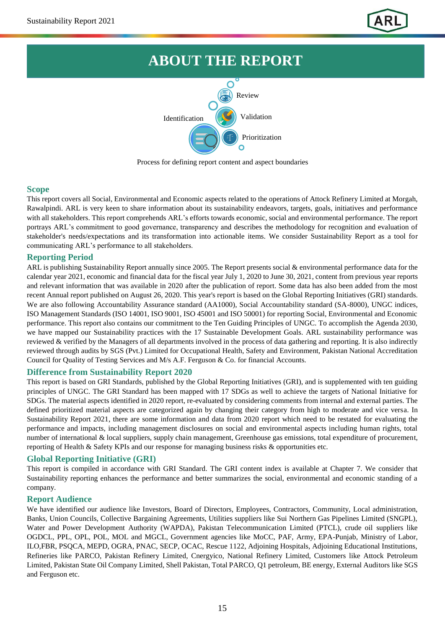

# **ABOUT THE REPORT**



Process for defining report content and aspect boundaries

### **Scope**

This report covers all Social, Environmental and Economic aspects related to the operations of Attock Refinery Limited at Morgah, Rawalpindi. ARL is very keen to share information about its sustainability endeavors, targets, goals, initiatives and performance with all stakeholders. This report comprehends ARL's efforts towards economic, social and environmental performance. The report portrays ARL's commitment to good governance, transparency and describes the methodology for recognition and evaluation of stakeholder's needs/expectations and its transformation into actionable items. We consider Sustainability Report as a tool for communicating ARL's performance to all stakeholders.

## **Reporting Period**

ARL is publishing Sustainability Report annually since 2005. The Report presents social & environmental performance data for the calendar year 2021, economic and financial data for the fiscal year July 1, 2020 to June 30, 2021, content from previous year reports and relevant information that was available in 2020 after the publication of report. Some data has also been added from the most recent Annual report published on August 26, 2020. This year's report is based on the Global Reporting Initiatives (GRI) standards. We are also following Accountability Assurance standard (AA1000), Social Accountability standard (SA-8000), UNGC indices, ISO Management Standards (ISO 14001, ISO 9001, ISO 45001 and ISO 50001) for reporting Social, Environmental and Economic performance. This report also contains our commitment to the Ten Guiding Principles of UNGC. To accomplish the Agenda 2030, we have mapped our Sustainability practices with the 17 Sustainable Development Goals. ARL sustainability performance was reviewed & verified by the Managers of all departments involved in the process of data gathering and reporting. It is also indirectly reviewed through audits by SGS (Pvt.) Limited for Occupational Health, Safety and Environment, Pakistan National Accreditation Council for Quality of Testing Services and M/s A.F. Ferguson & Co. for financial Accounts.

## **Difference from Sustainability Report 2020**

This report is based on GRI Standards, published by the Global Reporting Initiatives (GRI), and is supplemented with ten guiding principles of UNGC. The GRI Standard has been mapped with 17 SDGs as well to achieve the targets of National Initiative for SDGs. The material aspects identified in 2020 report, re-evaluated by considering comments from internal and external parties. The defined prioritized material aspects are categorized again by changing their category from high to moderate and vice versa. In Sustainability Report 2021, there are some information and data from 2020 report which need to be restated for evaluating the performance and impacts, including management disclosures on social and environmental aspects including human rights, total number of international & local suppliers, supply chain management, Greenhouse gas emissions, total expenditure of procurement, reporting of Health & Safety KPIs and our response for managing business risks & opportunities etc.

## **Global Reporting Initiative (GRI)**

This report is compiled in accordance with GRI Standard. The GRI content index is available at Chapter 7. We consider that Sustainability reporting enhances the performance and better summarizes the social, environmental and economic standing of a company.

#### **Report Audience**

We have identified our audience like Investors, Board of Directors, Employees, Contractors, Community, Local administration, Banks, Union Councils, Collective Bargaining Agreements, Utilities suppliers like Sui Northern Gas Pipelines Limited (SNGPL), Water and Power Development Authority (WAPDA), Pakistan Telecommunication Limited (PTCL), crude oil suppliers like OGDCL, PPL, OPL, POL, MOL and MGCL, Government agencies like MoCC, PAF, Army, EPA-Punjab, Ministry of Labor, ILO,FBR, PSQCA, MEPD, OGRA, PNAC, SECP, OCAC, Rescue 1122, Adjoining Hospitals, Adjoining Educational Institutions, Refineries like PARCO, Pakistan Refinery Limited, Cnergyico, National Refinery Limited, Customers like Attock Petroleum Limited, Pakistan State Oil Company Limited, Shell Pakistan, Total PARCO, Q1 petroleum, BE energy, External Auditors like SGS and Ferguson etc.